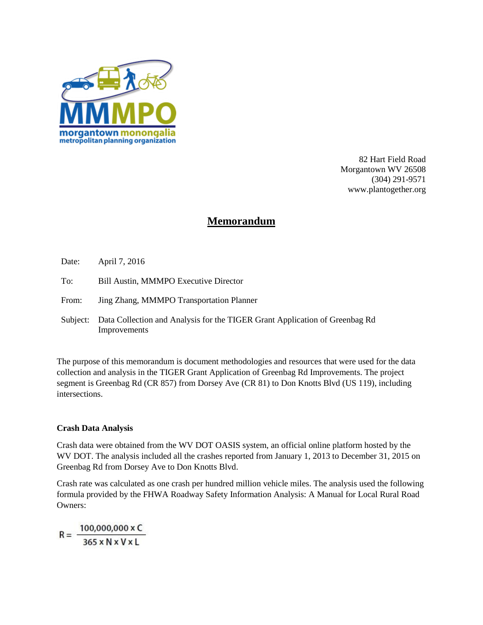

82 Hart Field Road Morgantown WV 26508 (304) 291-9571 www.plantogether.org

# **Memorandum**

- Date: April 7, 2016
- To: Bill Austin, MMMPO Executive Director
- From: Jing Zhang, MMMPO Transportation Planner
- Subject: Data Collection and Analysis for the TIGER Grant Application of Greenbag Rd Improvements

The purpose of this memorandum is document methodologies and resources that were used for the data collection and analysis in the TIGER Grant Application of Greenbag Rd Improvements. The project segment is Greenbag Rd (CR 857) from Dorsey Ave (CR 81) to Don Knotts Blvd (US 119), including intersections.

#### **Crash Data Analysis**

Crash data were obtained from the WV DOT OASIS system, an official online platform hosted by the WV DOT. The analysis included all the crashes reported from January 1, 2013 to December 31, 2015 on Greenbag Rd from Dorsey Ave to Don Knotts Blvd.

Crash rate was calculated as one crash per hundred million vehicle miles. The analysis used the following formula provided by the FHWA Roadway Safety Information Analysis: A Manual for Local Rural Road Owners:

 $R = \frac{100,000,000 \times C}{365 \times N \times V \times L}$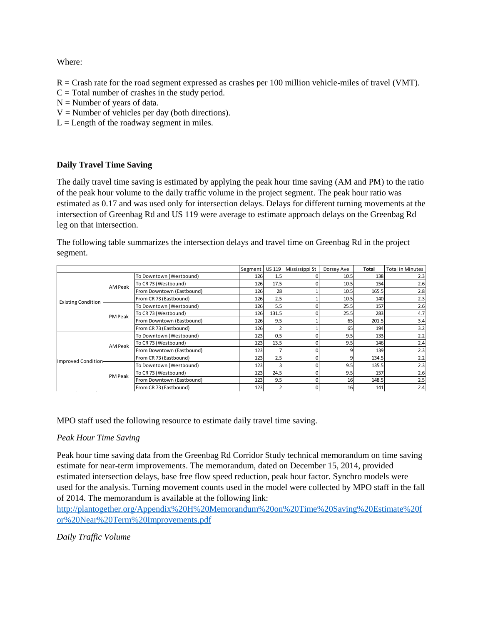Where:

 $R =$ Crash rate for the road segment expressed as crashes per 100 million vehicle-miles of travel (VMT).

- $C = Total number of crashes in the study period.$
- $N =$  Number of years of data.
- $V =$  Number of vehicles per day (both directions).
- $L =$  Length of the roadway segment in miles.

# **Daily Travel Time Saving**

The daily travel time saving is estimated by applying the peak hour time saving (AM and PM) to the ratio of the peak hour volume to the daily traffic volume in the project segment. The peak hour ratio was estimated as 0.17 and was used only for intersection delays. Delays for different turning movements at the intersection of Greenbag Rd and US 119 were average to estimate approach delays on the Greenbag Rd leg on that intersection.

The following table summarizes the intersection delays and travel time on Greenbag Rd in the project segment.

|                           |         |                           | Segment US 119 |       | Mississippi St | Dorsey Ave | <b>Total</b> | <b>Total in Minutes</b> |
|---------------------------|---------|---------------------------|----------------|-------|----------------|------------|--------------|-------------------------|
|                           |         | To Downtown (Westbound)   | 126            |       |                | 10.5       | 138          | 2.3                     |
|                           | AM Peak | To CR 73 (Westbound)      | 126            | 17.5  |                | 10.5       | 154          | 2.6                     |
|                           |         | From Downtown (Eastbound) | 126            | 28    |                | 10.5       | 165.5        | 2.8                     |
| <b>Existing Condition</b> |         | From CR 73 (Eastbound)    | 126            | 2.5   |                | 10.5       | 140          | 2.3                     |
|                           |         | To Downtown (Westbound)   | 126            | 5.5   |                | 25.5       | 157          | 2.6                     |
|                           | PM Peak | To CR 73 (Westbound)      | 126            | 131.5 |                | 25.5       | 283          | 4.7                     |
|                           |         | From Downtown (Eastbound) | 126            | 9.5   |                | 65         | 201.5        | 3.4                     |
|                           |         | From CR 73 (Eastbound)    | 126            |       |                | 65         | 194          | 3.2                     |
|                           | AM Peak | To Downtown (Westbound)   | 123            | 0.5   |                | 9.5        | 133          | 2.2                     |
|                           |         | To CR 73 (Westbound)      | 123            | 13.5  |                | 9.5        | 146          | 2.4                     |
|                           |         | From Downtown (Eastbound) | 123            |       |                |            | 139          | 2.3                     |
| <b>Improved Condition</b> |         | From CR 73 (Eastbound)    | 123            | 2.5   |                |            | 134.5        | 2.2                     |
|                           | PM Peak | To Downtown (Westbound)   | 123            |       |                | 9.5        | 135.5        | 2.3                     |
|                           |         | To CR 73 (Westbound)      | 123            | 24.5  |                | 9.5        | 157          | 2.6                     |
|                           |         | From Downtown (Eastbound) | 123            | 9.5   |                | 16         | 148.5        | 2.5                     |
|                           |         | From CR 73 (Eastbound)    | 123            |       |                | 16         | 141          | 2.4                     |

MPO staff used the following resource to estimate daily travel time saving.

# *Peak Hour Time Saving*

Peak hour time saving data from the Greenbag Rd Corridor Study technical memorandum on time saving estimate for near-term improvements. The memorandum, dated on December 15, 2014, provided estimated intersection delays, base free flow speed reduction, peak hour factor. Synchro models were used for the analysis. Turning movement counts used in the model were collected by MPO staff in the fall of 2014. The memorandum is available at the following link:

[http://plantogether.org/Appendix%20H%20Memorandum%20on%20Time%20Saving%20Estimate%20f](http://plantogether.org/Appendix%20H%20Memorandum%20on%20Time%20Saving%20Estimate%20for%20Near%20Term%20Improvements.pdf) [or%20Near%20Term%20Improvements.pdf](http://plantogether.org/Appendix%20H%20Memorandum%20on%20Time%20Saving%20Estimate%20for%20Near%20Term%20Improvements.pdf)

# *Daily Traffic Volume*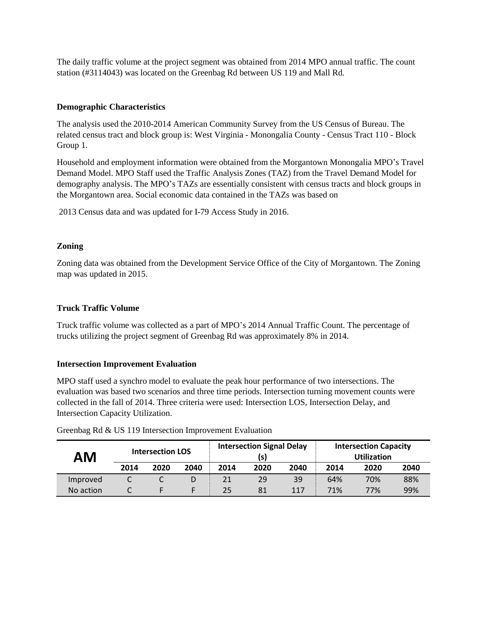The daily traffic volume at the project segment was obtained from 2014 MPO annual traffic. The count station (#3114043) was located on the Greenbag Rd between US 119 and Mall Rd.

#### **Demographic Characteristics**

The analysis used the 2010-2014 American Community Survey from the US Census of Bureau. The related census tract and block group is: West Virginia - Monongalia County - Census Tract 110 - Block Group 1.

Household and employment information were obtained from the Morgantown Monongalia MPO's Travel Demand Model. MPO Staff used the Traffic Analysis Zones (TAZ) from the Travel Demand Model for demography analysis. The MPO's TAZs are essentially consistent with census tracts and block groups in the Morgantown area. Social economic data contained in the TAZs was based on

2013 Census data and was updated for I-79 Access Study in 2016.

## **Zoning**

Zoning data was obtained from the Development Service Office of the City of Morgantown. The Zoning map was updated in 2015.

## **Truck Traffic Volume**

Truck traffic volume was collected as a part of MPO's 2014 Annual Traffic Count. The percentage of trucks utilizing the project segment of Greenbag Rd was approximately 8% in 2014.

#### **Intersection Improvement Evaluation**

MPO staff used a synchro model to evaluate the peak hour performance of two intersections. The evaluation was based two scenarios and three time periods. Intersection turning movement counts were collected in the fall of 2014. Three criteria were used: Intersection LOS, Intersection Delay, and Intersection Capacity Utilization.

| ΑM        |      | <b>Intersection LOS</b> |      |      | <b>Intersection Signal Delay</b><br>(s) |      | <b>Intersection Capacity</b><br><b>Utilization</b> |      |      |  |
|-----------|------|-------------------------|------|------|-----------------------------------------|------|----------------------------------------------------|------|------|--|
|           | 2014 | 2020                    | 2040 | 2014 | 2020                                    | 2040 | 2014                                               | 2020 | 2040 |  |
| Improved  | ֊    |                         | D    | 21   | 29                                      | 39   | 64%                                                | 70%  | 88%  |  |
| No action |      |                         |      | 25   | 81                                      | 117  | 71%                                                | 77%  | 99%  |  |

Greenbag Rd & US 119 Intersection Improvement Evaluation